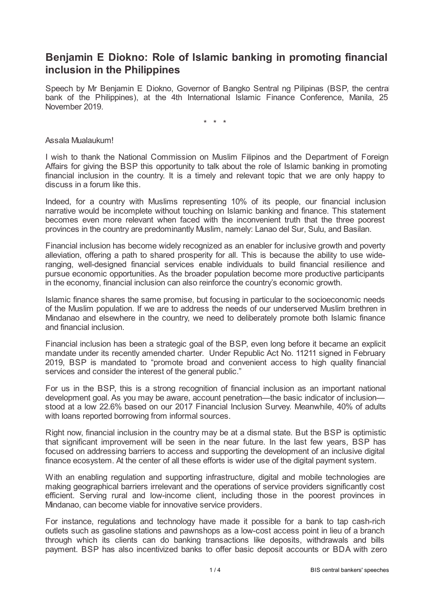## **Benjamin E Diokno: Role of Islamic banking in promoting financial inclusion in the Philippines**

Speech by Mr Benjamin E Diokno, Governor of Bangko Sentral ng Pilipinas (BSP, the central bank of the Philippines), at the 4th International Islamic Finance Conference, Manila, 25 November 2019.

\* \* \*

Assala Mualaukum!

I wish to thank the National Commission on Muslim Filipinos and the Department of Foreign Affairs for giving the BSP this opportunity to talk about the role of Islamic banking in promoting financial inclusion in the country. It is a timely and relevant topic that we are only happy to discuss in a forum like this.

Indeed, for a country with Muslims representing 10% of its people, our financial inclusion narrative would be incomplete without touching on Islamic banking and finance. This statement becomes even more relevant when faced with the inconvenient truth that the three poorest provinces in the country are predominantly Muslim, namely: Lanao del Sur, Sulu, and Basilan.

Financial inclusion has become widely recognized as an enabler for inclusive growth and poverty alleviation, offering a path to shared prosperity for all. This is because the ability to use wideranging, well-designed financial services enable individuals to build financial resilience and pursue economic opportunities. As the broader population become more productive participants in the economy, financial inclusion can also reinforce the country's economic growth.

Islamic finance shares the same promise, but focusing in particular to the socioeconomic needs of the Muslim population. If we are to address the needs of our underserved Muslim brethren in Mindanao and elsewhere in the country, we need to deliberately promote both Islamic finance and financial inclusion.

Financial inclusion has been a strategic goal of the BSP, even long before it became an explicit mandate under its recently amended charter. Under Republic Act No. 11211 signed in February 2019, BSP is mandated to "promote broad and convenient access to high quality financial services and consider the interest of the general public."

For us in the BSP, this is a strong recognition of financial inclusion as an important national development goal. As you may be aware, account penetration—the basic indicator of inclusion stood at a low 22.6% based on our 2017 Financial Inclusion Survey. Meanwhile, 40% of adults with loans reported borrowing from informal sources.

Right now, financial inclusion in the country may be at a dismal state. But the BSP is optimistic that significant improvement will be seen in the near future. In the last few years, BSP has focused on addressing barriers to access and supporting the development of an inclusive digital finance ecosystem. At the center of all these efforts is wider use of the digital payment system.

With an enabling regulation and supporting infrastructure, digital and mobile technologies are making geographical barriers irrelevant and the operations of service providers significantly cost efficient. Serving rural and low-income client, including those in the poorest provinces in Mindanao, can become viable for innovative service providers.

For instance, regulations and technology have made it possible for a bank to tap cash-rich outlets such as gasoline stations and pawnshops as a low-cost access point in lieu of a branch through which its clients can do banking transactions like deposits, withdrawals and bills payment. BSP has also incentivized banks to offer basic deposit accounts or BDA with zero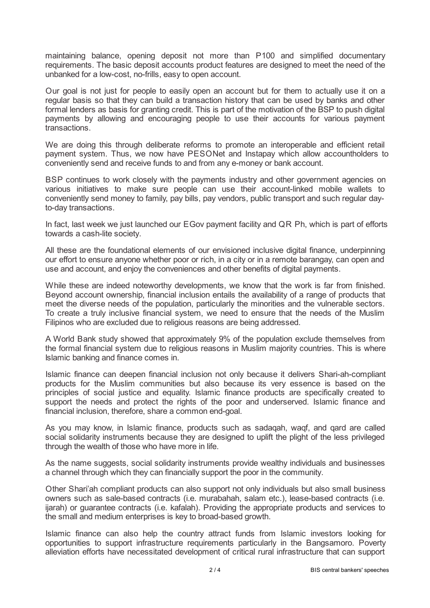maintaining balance, opening deposit not more than P100 and simplified documentary requirements. The basic deposit accounts product features are designed to meet the need of the unbanked for a low-cost, no-frills, easy to open account.

Our goal is not just for people to easily open an account but for them to actually use it on a regular basis so that they can build a transaction history that can be used by banks and other formal lenders as basis for granting credit. This is part of the motivation of the BSP to push digital payments by allowing and encouraging people to use their accounts for various payment transactions.

We are doing this through deliberate reforms to promote an interoperable and efficient retail payment system. Thus, we now have PESONet and Instapay which allow accountholders to conveniently send and receive funds to and from any e-money or bank account.

BSP continues to work closely with the payments industry and other government agencies on various initiatives to make sure people can use their account-linked mobile wallets to conveniently send money to family, pay bills, pay vendors, public transport and such regular dayto-day transactions.

In fact, last week we just launched our EGov payment facility and QR Ph, which is part of efforts towards a cash-lite society.

All these are the foundational elements of our envisioned inclusive digital finance, underpinning our effort to ensure anyone whether poor or rich, in a city or in a remote barangay, can open and use and account, and enjoy the conveniences and other benefits of digital payments.

While these are indeed noteworthy developments, we know that the work is far from finished. Beyond account ownership, financial inclusion entails the availability of a range of products that meet the diverse needs of the population, particularly the minorities and the vulnerable sectors. To create a truly inclusive financial system, we need to ensure that the needs of the Muslim Filipinos who are excluded due to religious reasons are being addressed.

A World Bank study showed that approximately 9% of the population exclude themselves from the formal financial system due to religious reasons in Muslim majority countries. This is where Islamic banking and finance comes in.

Islamic finance can deepen financial inclusion not only because it delivers Shari-ah-compliant products for the Muslim communities but also because its very essence is based on the principles of social justice and equality. Islamic finance products are specifically created to support the needs and protect the rights of the poor and underserved. Islamic finance and financial inclusion, therefore, share a common end-goal.

As you may know, in Islamic finance, products such as sadaqah, waqf, and qard are called social solidarity instruments because they are designed to uplift the plight of the less privileged through the wealth of those who have more in life.

As the name suggests, social solidarity instruments provide wealthy individuals and businesses a channel through which they can financially support the poor in the community.

Other Shari'ah compliant products can also support not only individuals but also small business owners such as sale-based contracts (i.e. murabahah, salam etc.), lease-based contracts (i.e. ijarah) or guarantee contracts (i.e. kafalah). Providing the appropriate products and services to the small and medium enterprises is key to broad-based growth.

Islamic finance can also help the country attract funds from Islamic investors looking for opportunities to support infrastructure requirements particularly in the Bangsamoro. Poverty alleviation efforts have necessitated development of critical rural infrastructure that can support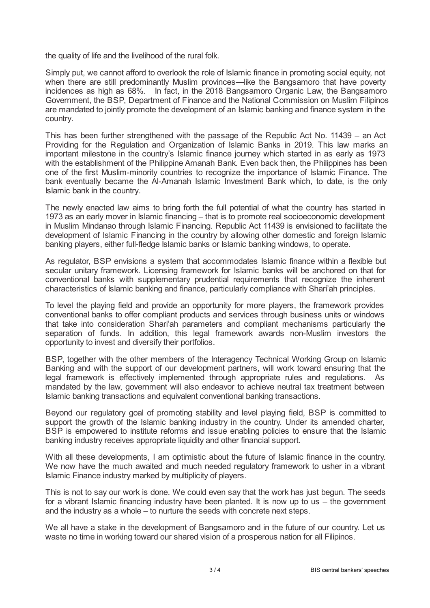the quality of life and the livelihood of the rural folk.

Simply put, we cannot afford to overlook the role of Islamic finance in promoting social equity, not when there are still predominantly Muslim provinces—like the Bangsamoro that have poverty incidences as high as 68%. In fact, in the 2018 Bangsamoro Organic Law, the Bangsamoro Government, the BSP, Department of Finance and the National Commission on Muslim Filipinos are mandated to jointly promote the development of an Islamic banking and finance system in the country.

This has been further strengthened with the passage of the Republic Act No. 11439 – an Act Providing for the Regulation and Organization of Islamic Banks in 2019. This law marks an important milestone in the country's Islamic finance journey which started in as early as 1973 with the establishment of the Philippine Amanah Bank. Even back then, the Philippines has been one of the first Muslim-minority countries to recognize the importance of Islamic Finance. The bank eventually became the Al-Amanah Islamic Investment Bank which, to date, is the only Islamic bank in the country.

The newly enacted law aims to bring forth the full potential of what the country has started in 1973 as an early mover in Islamic financing – that is to promote real socioeconomic development in Muslim Mindanao through Islamic Financing. Republic Act 11439 is envisioned to facilitate the development of Islamic Financing in the country by allowing other domestic and foreign Islamic banking players, either full-fledge Islamic banks or Islamic banking windows, to operate.

As regulator, BSP envisions a system that accommodates Islamic finance within a flexible but secular unitary framework. Licensing framework for Islamic banks will be anchored on that for conventional banks with supplementary prudential requirements that recognize the inherent characteristics of Islamic banking and finance, particularly compliance with Shari'ah principles.

To level the playing field and provide an opportunity for more players, the framework provides conventional banks to offer compliant products and services through business units or windows that take into consideration Shari'ah parameters and compliant mechanisms particularly the separation of funds. In addition, this legal framework awards non-Muslim investors the opportunity to invest and diversify their portfolios.

BSP, together with the other members of the Interagency Technical Working Group on Islamic Banking and with the support of our development partners, will work toward ensuring that the legal framework is effectively implemented through appropriate rules and regulations. As mandated by the law, government will also endeavor to achieve neutral tax treatment between Islamic banking transactions and equivalent conventional banking transactions.

Beyond our regulatory goal of promoting stability and level playing field, BSP is committed to support the growth of the Islamic banking industry in the country. Under its amended charter, BSP is empowered to institute reforms and issue enabling policies to ensure that the Islamic banking industry receives appropriate liquidity and other financial support.

With all these developments, I am optimistic about the future of Islamic finance in the country. We now have the much awaited and much needed regulatory framework to usher in a vibrant Islamic Finance industry marked by multiplicity of players.

This is not to say our work is done. We could even say that the work has just begun. The seeds for a vibrant Islamic financing industry have been planted. It is now up to us – the government and the industry as a whole – to nurture the seeds with concrete next steps.

We all have a stake in the development of Bangsamoro and in the future of our country. Let us waste no time in working toward our shared vision of a prosperous nation for all Filipinos.